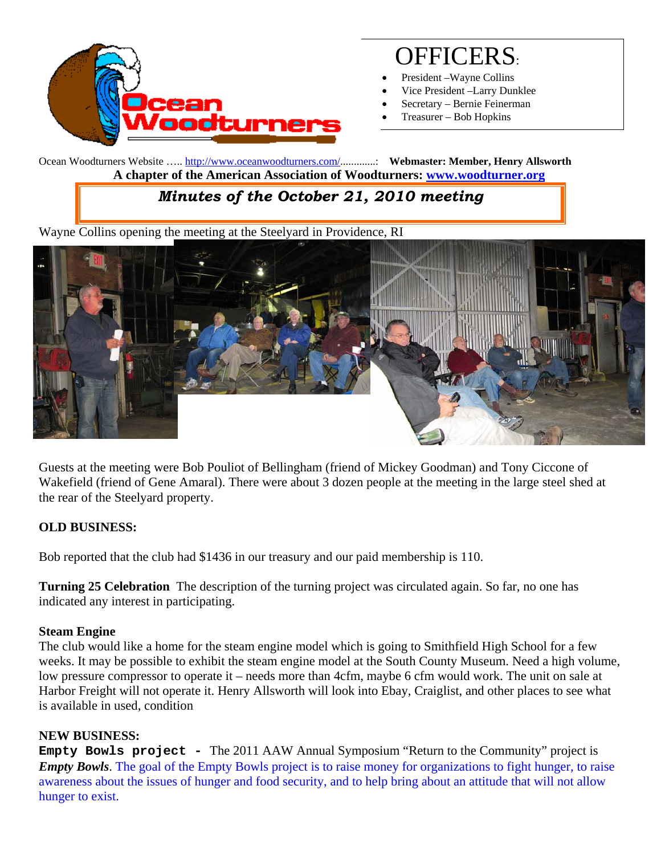

# OFFICERS:

- President –Wayne Collins
- Vice President –Larry Dunklee
- Secretary Bernie Feinerman
- Treasurer Bob Hopkins

Ocean Woodturners Website ….. http://www.oceanwoodturners.com/.............: **Webmaster: Member, Henry Allsworth A chapter of the American Association of Woodturners: www.woodturner.org** 

## *Minutes of the October 21, 2010 meeting*

Wayne Collins opening the meeting at the Steelyard in Providence, RI



Guests at the meeting were Bob Pouliot of Bellingham (friend of Mickey Goodman) and Tony Ciccone of Wakefield (friend of Gene Amaral). There were about 3 dozen people at the meeting in the large steel shed at the rear of the Steelyard property.

### **OLD BUSINESS:**

Bob reported that the club had \$1436 in our treasury and our paid membership is 110.

**Turning 25 Celebration** The description of the turning project was circulated again. So far, no one has indicated any interest in participating.

### **Steam Engine**

The club would like a home for the steam engine model which is going to Smithfield High School for a few weeks. It may be possible to exhibit the steam engine model at the South County Museum. Need a high volume, low pressure compressor to operate it – needs more than 4cfm, maybe 6 cfm would work. The unit on sale at Harbor Freight will not operate it. Henry Allsworth will look into Ebay, Craiglist, and other places to see what is available in used, condition

### **NEW BUSINESS:**

**Empty Bowls project -** The 2011 AAW Annual Symposium "Return to the Community" project is *Empty Bowls*. The goal of the Empty Bowls project is to raise money for organizations to fight hunger, to raise awareness about the issues of hunger and food security, and to help bring about an attitude that will not allow hunger to exist.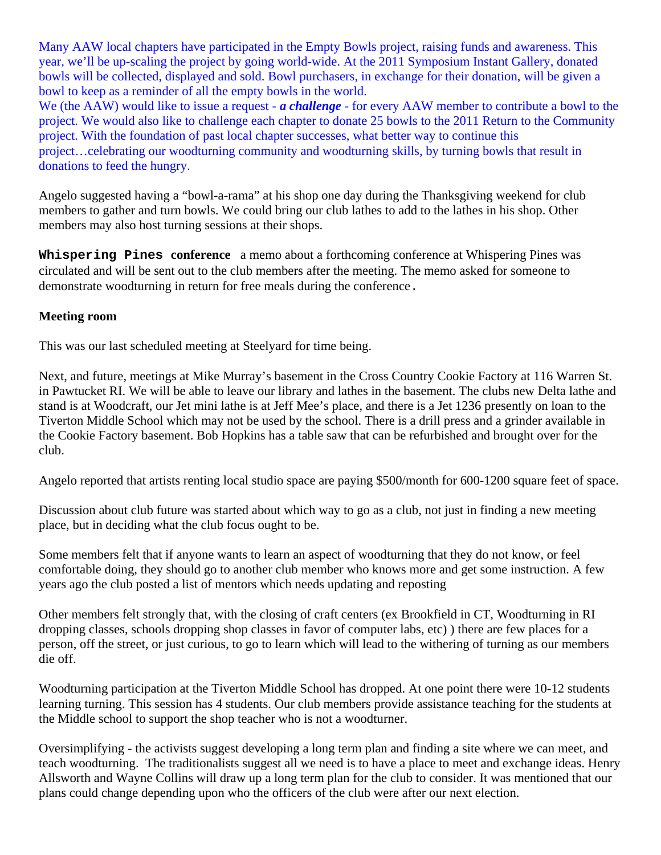Many AAW local chapters have participated in the Empty Bowls project, raising funds and awareness. This year, we'll be up-scaling the project by going world-wide. At the 2011 Symposium Instant Gallery, donated bowls will be collected, displayed and sold. Bowl purchasers, in exchange for their donation, will be given a bowl to keep as a reminder of all the empty bowls in the world.

We (the AAW) would like to issue a request - *a challenge* - for every AAW member to contribute a bowl to the project. We would also like to challenge each chapter to donate 25 bowls to the 2011 Return to the Community project. With the foundation of past local chapter successes, what better way to continue this project…celebrating our woodturning community and woodturning skills, by turning bowls that result in donations to feed the hungry.

Angelo suggested having a "bowl-a-rama" at his shop one day during the Thanksgiving weekend for club members to gather and turn bowls. We could bring our club lathes to add to the lathes in his shop. Other members may also host turning sessions at their shops.

**Whispering Pines conference** a memo about a forthcoming conference at Whispering Pines was circulated and will be sent out to the club members after the meeting. The memo asked for someone to demonstrate woodturning in return for free meals during the conference.

#### **Meeting room**

This was our last scheduled meeting at Steelyard for time being.

Next, and future, meetings at Mike Murray's basement in the Cross Country Cookie Factory at 116 Warren St. in Pawtucket RI. We will be able to leave our library and lathes in the basement. The clubs new Delta lathe and stand is at Woodcraft, our Jet mini lathe is at Jeff Mee's place, and there is a Jet 1236 presently on loan to the Tiverton Middle School which may not be used by the school. There is a drill press and a grinder available in the Cookie Factory basement. Bob Hopkins has a table saw that can be refurbished and brought over for the club.

Angelo reported that artists renting local studio space are paying \$500/month for 600-1200 square feet of space.

Discussion about club future was started about which way to go as a club, not just in finding a new meeting place, but in deciding what the club focus ought to be.

Some members felt that if anyone wants to learn an aspect of woodturning that they do not know, or feel comfortable doing, they should go to another club member who knows more and get some instruction. A few years ago the club posted a list of mentors which needs updating and reposting

Other members felt strongly that, with the closing of craft centers (ex Brookfield in CT, Woodturning in RI dropping classes, schools dropping shop classes in favor of computer labs, etc) ) there are few places for a person, off the street, or just curious, to go to learn which will lead to the withering of turning as our members die off.

Woodturning participation at the Tiverton Middle School has dropped. At one point there were 10-12 students learning turning. This session has 4 students. Our club members provide assistance teaching for the students at the Middle school to support the shop teacher who is not a woodturner.

Oversimplifying - the activists suggest developing a long term plan and finding a site where we can meet, and teach woodturning. The traditionalists suggest all we need is to have a place to meet and exchange ideas. Henry Allsworth and Wayne Collins will draw up a long term plan for the club to consider. It was mentioned that our plans could change depending upon who the officers of the club were after our next election.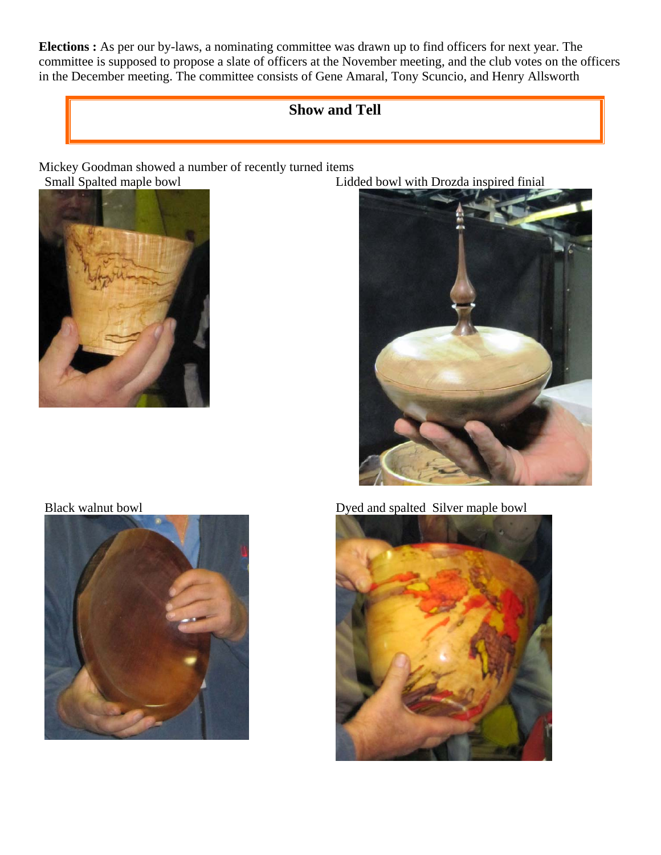**Elections :** As per our by-laws, a nominating committee was drawn up to find officers for next year. The committee is supposed to propose a slate of officers at the November meeting, and the club votes on the officers in the December meeting. The committee consists of Gene Amaral, Tony Scuncio, and Henry Allsworth

## **Show and Tell**

Mickey Goodman showed a number of recently turned items<br>
Small Spalted maple bowl<br>
Lide



Lidded bowl with Drozda inspired finial





Black walnut bowl Dyed and spalted Silver maple bowl